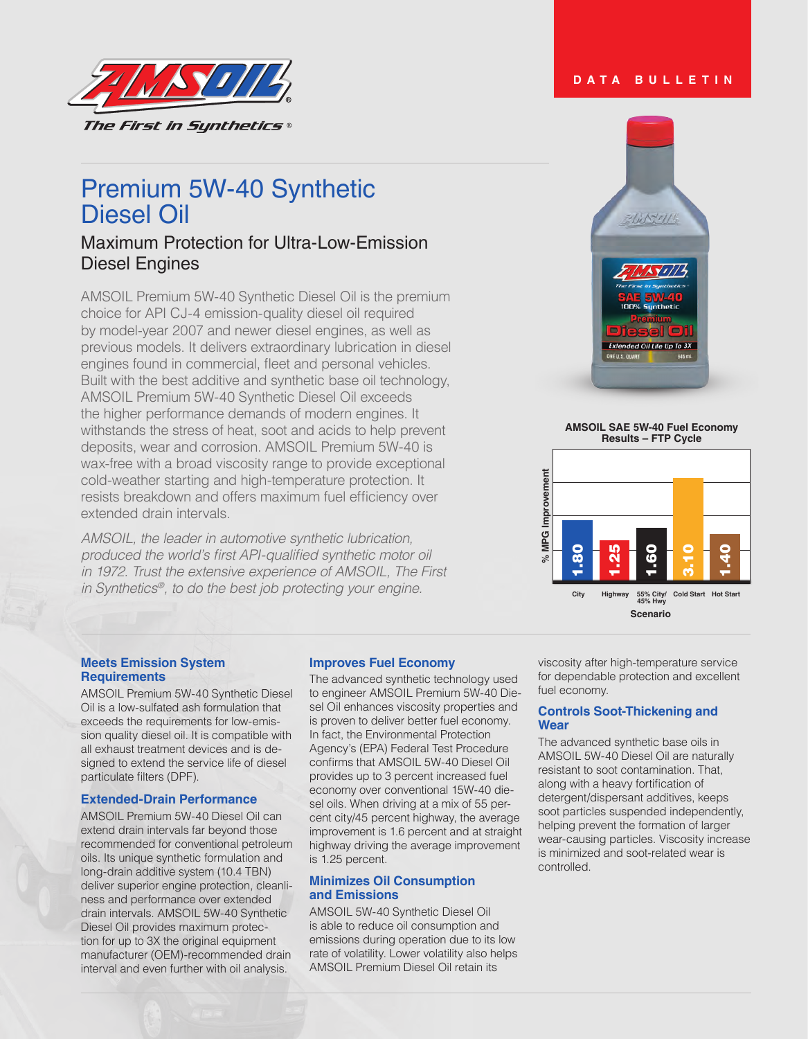

# Premium 5W-40 Synthetic Diesel Oil

# Maximum Protection for Ultra-Low-Emission Diesel Engines

AMSOIL Premium 5W-40 Synthetic Diesel Oil is the premium choice for API CJ-4 emission-quality diesel oil required by model-year 2007 and newer diesel engines, as well as previous models. It delivers extraordinary lubrication in diesel engines found in commercial, fleet and personal vehicles. Built with the best additive and synthetic base oil technology, AMSOIL Premium 5W-40 Synthetic Diesel Oil exceeds the higher performance demands of modern engines. It withstands the stress of heat, soot and acids to help prevent deposits, wear and corrosion. AMSOIL Premium 5W-40 is wax-free with a broad viscosity range to provide exceptional cold-weather starting and high-temperature protection. It resists breakdown and offers maximum fuel efficiency over extended drain intervals.

*AMSOIL, the leader in automotive synthetic lubrication,*  produced the world's first API-qualified synthetic motor oil *in 1972. Trust the extensive experience of AMSOIL, The First in Synthetics®, to do the best job protecting your engine.*

# $\sqrt{\mu N^2 r}/l^2$

**AMSOIL SAE 5W-40 Fuel Economy Results – FTP Cycle**



## **Meets Emission System Requirements**

AMSOIL Premium 5W-40 Synthetic Diesel Oil is a low-sulfated ash formulation that exceeds the requirements for low-emission quality diesel oil. It is compatible with all exhaust treatment devices and is designed to extend the service life of diesel particulate filters (DPF).

# **Extended-Drain Performance**

AMSOIL Premium 5W-40 Diesel Oil can extend drain intervals far beyond those recommended for conventional petroleum oils. Its unique synthetic formulation and long-drain additive system (10.4 TBN) deliver superior engine protection, cleanliness and performance over extended drain intervals. AMSOIL 5W-40 Synthetic Diesel Oil provides maximum protection for up to 3X the original equipment manufacturer (OEM)-recommended drain interval and even further with oil analysis.

# **Improves Fuel Economy**

The advanced synthetic technology used to engineer AMSOIL Premium 5W-40 Diesel Oil enhances viscosity properties and is proven to deliver better fuel economy. In fact, the Environmental Protection Agency's (EPA) Federal Test Procedure confirms that AMSOIL 5W-40 Diesel Oil provides up to 3 percent increased fuel economy over conventional 15W-40 diesel oils. When driving at a mix of 55 percent city/45 percent highway, the average improvement is 1.6 percent and at straight highway driving the average improvement is 1.25 percent.

#### **Minimizes Oil Consumption and Emissions**

AMSOIL 5W-40 Synthetic Diesel Oil is able to reduce oil consumption and emissions during operation due to its low rate of volatility. Lower volatility also helps AMSOIL Premium Diesel Oil retain its

viscosity after high-temperature service for dependable protection and excellent fuel economy.

## **Controls Soot-Thickening and Wear**

The advanced synthetic base oils in AMSOIL 5W-40 Diesel Oil are naturally resistant to soot contamination. That, along with a heavy fortification of detergent/dispersant additives, keeps soot particles suspended independently, helping prevent the formation of larger wear-causing particles. Viscosity increase is minimized and soot-related wear is controlled.

# **DATA BULLETIN**